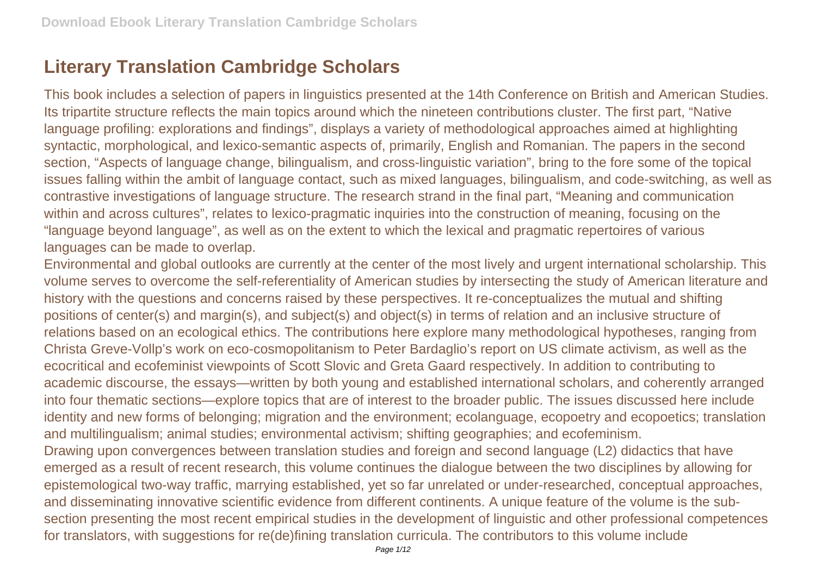## **Literary Translation Cambridge Scholars**

This book includes a selection of papers in linguistics presented at the 14th Conference on British and American Studies. Its tripartite structure reflects the main topics around which the nineteen contributions cluster. The first part, "Native language profiling: explorations and findings", displays a variety of methodological approaches aimed at highlighting syntactic, morphological, and lexico-semantic aspects of, primarily, English and Romanian. The papers in the second section, "Aspects of language change, bilingualism, and cross-linguistic variation", bring to the fore some of the topical issues falling within the ambit of language contact, such as mixed languages, bilingualism, and code-switching, as well as contrastive investigations of language structure. The research strand in the final part, "Meaning and communication within and across cultures", relates to lexico-pragmatic inquiries into the construction of meaning, focusing on the "language beyond language", as well as on the extent to which the lexical and pragmatic repertoires of various languages can be made to overlap.

Environmental and global outlooks are currently at the center of the most lively and urgent international scholarship. This volume serves to overcome the self-referentiality of American studies by intersecting the study of American literature and history with the questions and concerns raised by these perspectives. It re-conceptualizes the mutual and shifting positions of center(s) and margin(s), and subject(s) and object(s) in terms of relation and an inclusive structure of relations based on an ecological ethics. The contributions here explore many methodological hypotheses, ranging from Christa Greve-Vollp's work on eco-cosmopolitanism to Peter Bardaglio's report on US climate activism, as well as the ecocritical and ecofeminist viewpoints of Scott Slovic and Greta Gaard respectively. In addition to contributing to academic discourse, the essays—written by both young and established international scholars, and coherently arranged into four thematic sections—explore topics that are of interest to the broader public. The issues discussed here include identity and new forms of belonging; migration and the environment; ecolanguage, ecopoetry and ecopoetics; translation and multilingualism; animal studies; environmental activism; shifting geographies; and ecofeminism. Drawing upon convergences between translation studies and foreign and second language (L2) didactics that have emerged as a result of recent research, this volume continues the dialogue between the two disciplines by allowing for epistemological two-way traffic, marrying established, yet so far unrelated or under-researched, conceptual approaches, and disseminating innovative scientific evidence from different continents. A unique feature of the volume is the subsection presenting the most recent empirical studies in the development of linguistic and other professional competences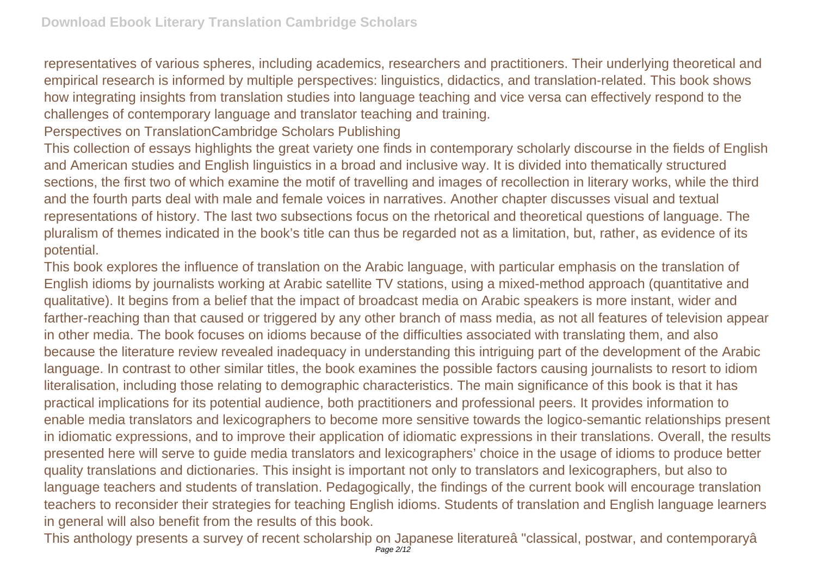representatives of various spheres, including academics, researchers and practitioners. Their underlying theoretical and empirical research is informed by multiple perspectives: linguistics, didactics, and translation-related. This book shows how integrating insights from translation studies into language teaching and vice versa can effectively respond to the challenges of contemporary language and translator teaching and training.

Perspectives on TranslationCambridge Scholars Publishing

This collection of essays highlights the great variety one finds in contemporary scholarly discourse in the fields of English and American studies and English linguistics in a broad and inclusive way. It is divided into thematically structured sections, the first two of which examine the motif of travelling and images of recollection in literary works, while the third and the fourth parts deal with male and female voices in narratives. Another chapter discusses visual and textual representations of history. The last two subsections focus on the rhetorical and theoretical questions of language. The pluralism of themes indicated in the book's title can thus be regarded not as a limitation, but, rather, as evidence of its potential.

This book explores the influence of translation on the Arabic language, with particular emphasis on the translation of English idioms by journalists working at Arabic satellite TV stations, using a mixed-method approach (quantitative and qualitative). It begins from a belief that the impact of broadcast media on Arabic speakers is more instant, wider and farther-reaching than that caused or triggered by any other branch of mass media, as not all features of television appear in other media. The book focuses on idioms because of the difficulties associated with translating them, and also because the literature review revealed inadequacy in understanding this intriguing part of the development of the Arabic language. In contrast to other similar titles, the book examines the possible factors causing journalists to resort to idiom literalisation, including those relating to demographic characteristics. The main significance of this book is that it has practical implications for its potential audience, both practitioners and professional peers. It provides information to enable media translators and lexicographers to become more sensitive towards the logico-semantic relationships present in idiomatic expressions, and to improve their application of idiomatic expressions in their translations. Overall, the results presented here will serve to guide media translators and lexicographers' choice in the usage of idioms to produce better quality translations and dictionaries. This insight is important not only to translators and lexicographers, but also to language teachers and students of translation. Pedagogically, the findings of the current book will encourage translation teachers to reconsider their strategies for teaching English idioms. Students of translation and English language learners in general will also benefit from the results of this book.

This anthology presents a survey of recent scholarship on Japanese literatureâ "classical, postwar, and contemporaryâ Page 2/12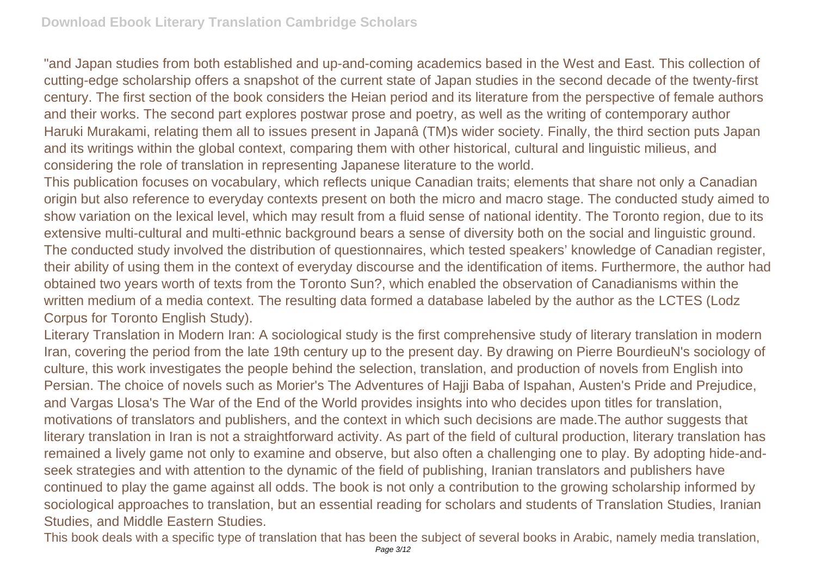"and Japan studies from both established and up-and-coming academics based in the West and East. This collection of cutting-edge scholarship offers a snapshot of the current state of Japan studies in the second decade of the twenty-first century. The first section of the book considers the Heian period and its literature from the perspective of female authors and their works. The second part explores postwar prose and poetry, as well as the writing of contemporary author Haruki Murakami, relating them all to issues present in Japanâ (TM)s wider society. Finally, the third section puts Japan and its writings within the global context, comparing them with other historical, cultural and linguistic milieus, and considering the role of translation in representing Japanese literature to the world.

This publication focuses on vocabulary, which reflects unique Canadian traits; elements that share not only a Canadian origin but also reference to everyday contexts present on both the micro and macro stage. The conducted study aimed to show variation on the lexical level, which may result from a fluid sense of national identity. The Toronto region, due to its extensive multi-cultural and multi-ethnic background bears a sense of diversity both on the social and linguistic ground. The conducted study involved the distribution of questionnaires, which tested speakers' knowledge of Canadian register, their ability of using them in the context of everyday discourse and the identification of items. Furthermore, the author had obtained two years worth of texts from the Toronto Sun?, which enabled the observation of Canadianisms within the written medium of a media context. The resulting data formed a database labeled by the author as the LCTES (Lodz Corpus for Toronto English Study).

Literary Translation in Modern Iran: A sociological study is the first comprehensive study of literary translation in modern Iran, covering the period from the late 19th century up to the present day. By drawing on Pierre BourdieuN's sociology of culture, this work investigates the people behind the selection, translation, and production of novels from English into Persian. The choice of novels such as Morier's The Adventures of Hajji Baba of Ispahan, Austen's Pride and Prejudice, and Vargas Llosa's The War of the End of the World provides insights into who decides upon titles for translation, motivations of translators and publishers, and the context in which such decisions are made.The author suggests that literary translation in Iran is not a straightforward activity. As part of the field of cultural production, literary translation has remained a lively game not only to examine and observe, but also often a challenging one to play. By adopting hide-andseek strategies and with attention to the dynamic of the field of publishing, Iranian translators and publishers have continued to play the game against all odds. The book is not only a contribution to the growing scholarship informed by sociological approaches to translation, but an essential reading for scholars and students of Translation Studies, Iranian Studies, and Middle Eastern Studies.

This book deals with a specific type of translation that has been the subject of several books in Arabic, namely media translation,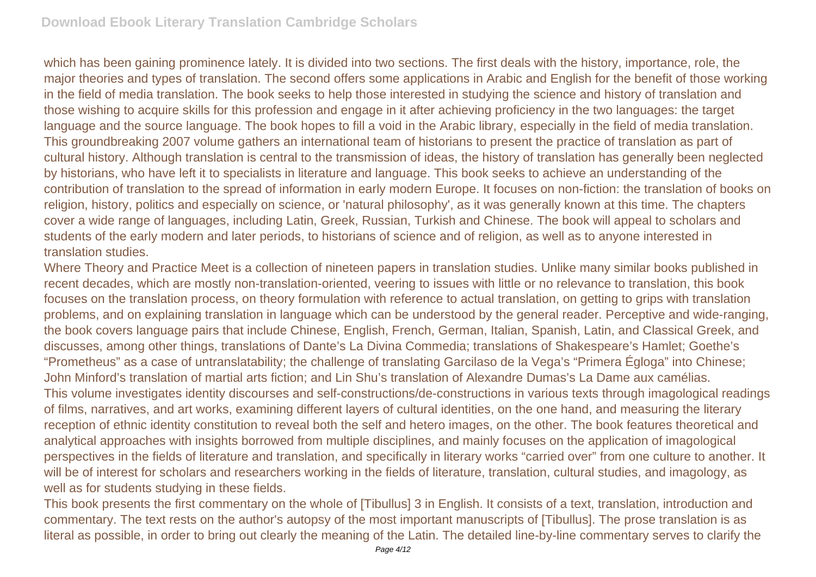which has been gaining prominence lately. It is divided into two sections. The first deals with the history, importance, role, the major theories and types of translation. The second offers some applications in Arabic and English for the benefit of those working in the field of media translation. The book seeks to help those interested in studying the science and history of translation and those wishing to acquire skills for this profession and engage in it after achieving proficiency in the two languages: the target language and the source language. The book hopes to fill a void in the Arabic library, especially in the field of media translation. This groundbreaking 2007 volume gathers an international team of historians to present the practice of translation as part of cultural history. Although translation is central to the transmission of ideas, the history of translation has generally been neglected by historians, who have left it to specialists in literature and language. This book seeks to achieve an understanding of the contribution of translation to the spread of information in early modern Europe. It focuses on non-fiction: the translation of books on religion, history, politics and especially on science, or 'natural philosophy', as it was generally known at this time. The chapters cover a wide range of languages, including Latin, Greek, Russian, Turkish and Chinese. The book will appeal to scholars and students of the early modern and later periods, to historians of science and of religion, as well as to anyone interested in translation studies.

Where Theory and Practice Meet is a collection of nineteen papers in translation studies. Unlike many similar books published in recent decades, which are mostly non-translation-oriented, veering to issues with little or no relevance to translation, this book focuses on the translation process, on theory formulation with reference to actual translation, on getting to grips with translation problems, and on explaining translation in language which can be understood by the general reader. Perceptive and wide-ranging, the book covers language pairs that include Chinese, English, French, German, Italian, Spanish, Latin, and Classical Greek, and discusses, among other things, translations of Dante's La Divina Commedia; translations of Shakespeare's Hamlet; Goethe's "Prometheus" as a case of untranslatability; the challenge of translating Garcilaso de la Vega's "Primera Égloga" into Chinese; John Minford's translation of martial arts fiction; and Lin Shu's translation of Alexandre Dumas's La Dame aux camélias. This volume investigates identity discourses and self-constructions/de-constructions in various texts through imagological readings of films, narratives, and art works, examining different layers of cultural identities, on the one hand, and measuring the literary reception of ethnic identity constitution to reveal both the self and hetero images, on the other. The book features theoretical and analytical approaches with insights borrowed from multiple disciplines, and mainly focuses on the application of imagological perspectives in the fields of literature and translation, and specifically in literary works "carried over" from one culture to another. It will be of interest for scholars and researchers working in the fields of literature, translation, cultural studies, and imagology, as well as for students studying in these fields.

This book presents the first commentary on the whole of [Tibullus] 3 in English. It consists of a text, translation, introduction and commentary. The text rests on the author's autopsy of the most important manuscripts of [Tibullus]. The prose translation is as literal as possible, in order to bring out clearly the meaning of the Latin. The detailed line-by-line commentary serves to clarify the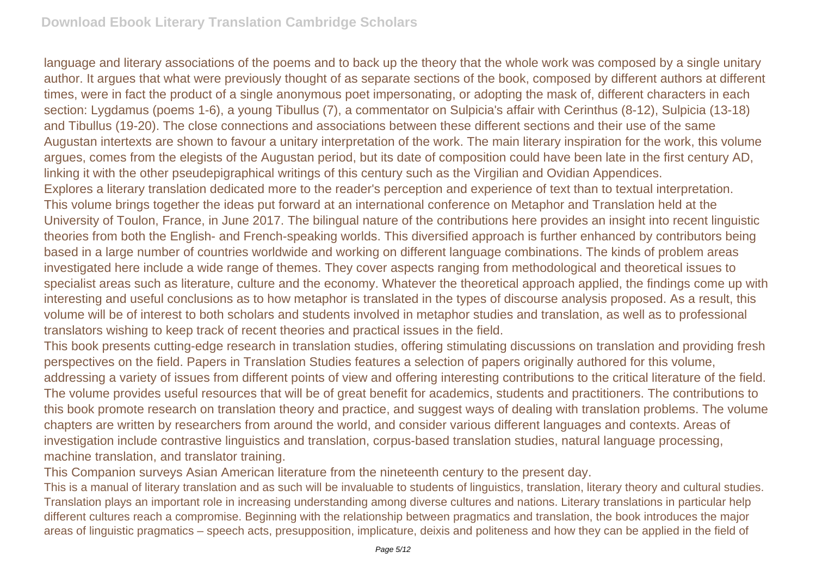language and literary associations of the poems and to back up the theory that the whole work was composed by a single unitary author. It argues that what were previously thought of as separate sections of the book, composed by different authors at different times, were in fact the product of a single anonymous poet impersonating, or adopting the mask of, different characters in each section: Lygdamus (poems 1-6), a young Tibullus (7), a commentator on Sulpicia's affair with Cerinthus (8-12), Sulpicia (13-18) and Tibullus (19-20). The close connections and associations between these different sections and their use of the same Augustan intertexts are shown to favour a unitary interpretation of the work. The main literary inspiration for the work, this volume argues, comes from the elegists of the Augustan period, but its date of composition could have been late in the first century AD, linking it with the other pseudepigraphical writings of this century such as the Virgilian and Ovidian Appendices. Explores a literary translation dedicated more to the reader's perception and experience of text than to textual interpretation. This volume brings together the ideas put forward at an international conference on Metaphor and Translation held at the University of Toulon, France, in June 2017. The bilingual nature of the contributions here provides an insight into recent linguistic theories from both the English- and French-speaking worlds. This diversified approach is further enhanced by contributors being based in a large number of countries worldwide and working on different language combinations. The kinds of problem areas investigated here include a wide range of themes. They cover aspects ranging from methodological and theoretical issues to specialist areas such as literature, culture and the economy. Whatever the theoretical approach applied, the findings come up with interesting and useful conclusions as to how metaphor is translated in the types of discourse analysis proposed. As a result, this volume will be of interest to both scholars and students involved in metaphor studies and translation, as well as to professional translators wishing to keep track of recent theories and practical issues in the field.

This book presents cutting-edge research in translation studies, offering stimulating discussions on translation and providing fresh perspectives on the field. Papers in Translation Studies features a selection of papers originally authored for this volume, addressing a variety of issues from different points of view and offering interesting contributions to the critical literature of the field. The volume provides useful resources that will be of great benefit for academics, students and practitioners. The contributions to this book promote research on translation theory and practice, and suggest ways of dealing with translation problems. The volume chapters are written by researchers from around the world, and consider various different languages and contexts. Areas of investigation include contrastive linguistics and translation, corpus-based translation studies, natural language processing, machine translation, and translator training.

This Companion surveys Asian American literature from the nineteenth century to the present day.

This is a manual of literary translation and as such will be invaluable to students of linguistics, translation, literary theory and cultural studies. Translation plays an important role in increasing understanding among diverse cultures and nations. Literary translations in particular help different cultures reach a compromise. Beginning with the relationship between pragmatics and translation, the book introduces the major areas of linguistic pragmatics – speech acts, presupposition, implicature, deixis and politeness and how they can be applied in the field of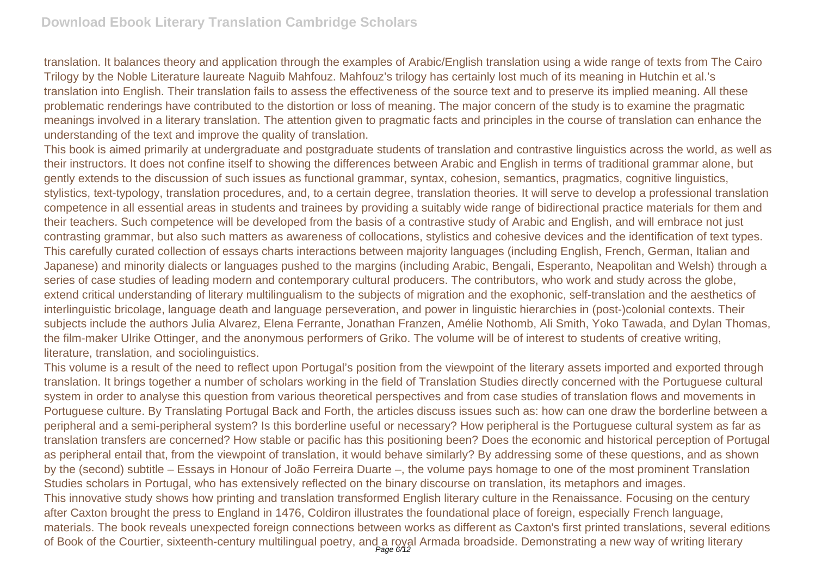translation. It balances theory and application through the examples of Arabic/English translation using a wide range of texts from The Cairo Trilogy by the Noble Literature laureate Naguib Mahfouz. Mahfouz's trilogy has certainly lost much of its meaning in Hutchin et al.'s translation into English. Their translation fails to assess the effectiveness of the source text and to preserve its implied meaning. All these problematic renderings have contributed to the distortion or loss of meaning. The major concern of the study is to examine the pragmatic meanings involved in a literary translation. The attention given to pragmatic facts and principles in the course of translation can enhance the understanding of the text and improve the quality of translation.

This book is aimed primarily at undergraduate and postgraduate students of translation and contrastive linguistics across the world, as well as their instructors. It does not confine itself to showing the differences between Arabic and English in terms of traditional grammar alone, but gently extends to the discussion of such issues as functional grammar, syntax, cohesion, semantics, pragmatics, cognitive linguistics, stylistics, text-typology, translation procedures, and, to a certain degree, translation theories. It will serve to develop a professional translation competence in all essential areas in students and trainees by providing a suitably wide range of bidirectional practice materials for them and their teachers. Such competence will be developed from the basis of a contrastive study of Arabic and English, and will embrace not just contrasting grammar, but also such matters as awareness of collocations, stylistics and cohesive devices and the identification of text types. This carefully curated collection of essays charts interactions between majority languages (including English, French, German, Italian and Japanese) and minority dialects or languages pushed to the margins (including Arabic, Bengali, Esperanto, Neapolitan and Welsh) through a series of case studies of leading modern and contemporary cultural producers. The contributors, who work and study across the globe, extend critical understanding of literary multilingualism to the subjects of migration and the exophonic, self-translation and the aesthetics of interlinguistic bricolage, language death and language perseveration, and power in linguistic hierarchies in (post-)colonial contexts. Their subjects include the authors Julia Alvarez, Elena Ferrante, Jonathan Franzen, Amélie Nothomb, Ali Smith, Yoko Tawada, and Dylan Thomas, the film-maker Ulrike Ottinger, and the anonymous performers of Griko. The volume will be of interest to students of creative writing, literature, translation, and sociolinguistics.

This volume is a result of the need to reflect upon Portugal's position from the viewpoint of the literary assets imported and exported through translation. It brings together a number of scholars working in the field of Translation Studies directly concerned with the Portuguese cultural system in order to analyse this question from various theoretical perspectives and from case studies of translation flows and movements in Portuguese culture. By Translating Portugal Back and Forth, the articles discuss issues such as: how can one draw the borderline between a peripheral and a semi-peripheral system? Is this borderline useful or necessary? How peripheral is the Portuguese cultural system as far as translation transfers are concerned? How stable or pacific has this positioning been? Does the economic and historical perception of Portugal as peripheral entail that, from the viewpoint of translation, it would behave similarly? By addressing some of these questions, and as shown by the (second) subtitle – Essays in Honour of João Ferreira Duarte –, the volume pays homage to one of the most prominent Translation Studies scholars in Portugal, who has extensively reflected on the binary discourse on translation, its metaphors and images. This innovative study shows how printing and translation transformed English literary culture in the Renaissance. Focusing on the century after Caxton brought the press to England in 1476, Coldiron illustrates the foundational place of foreign, especially French language, materials. The book reveals unexpected foreign connections between works as different as Caxton's first printed translations, several editions of Book of the Courtier, sixteenth-century multilingual poetry, and a royal Armada broadside. Demonstrating a new way of writing literary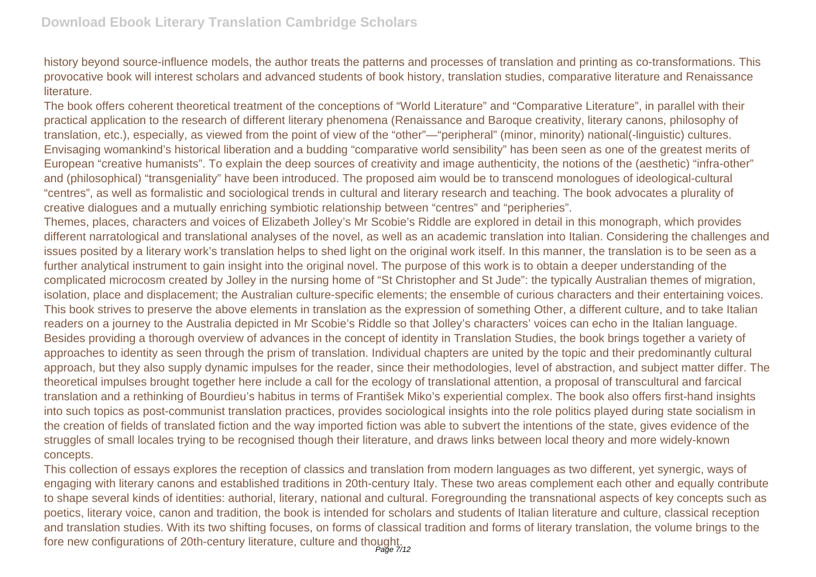history beyond source-influence models, the author treats the patterns and processes of translation and printing as co-transformations. This provocative book will interest scholars and advanced students of book history, translation studies, comparative literature and Renaissance literature.

The book offers coherent theoretical treatment of the conceptions of "World Literature" and "Comparative Literature", in parallel with their practical application to the research of different literary phenomena (Renaissance and Baroque creativity, literary canons, philosophy of translation, etc.), especially, as viewed from the point of view of the "other"—"peripheral" (minor, minority) national(-linguistic) cultures. Envisaging womankind's historical liberation and a budding "comparative world sensibility" has been seen as one of the greatest merits of European "creative humanists". To explain the deep sources of creativity and image authenticity, the notions of the (aesthetic) "infra-other" and (philosophical) "transgeniality" have been introduced. The proposed aim would be to transcend monologues of ideological-cultural "centres", as well as formalistic and sociological trends in cultural and literary research and teaching. The book advocates a plurality of creative dialogues and a mutually enriching symbiotic relationship between "centres" and "peripheries".

Themes, places, characters and voices of Elizabeth Jolley's Mr Scobie's Riddle are explored in detail in this monograph, which provides different narratological and translational analyses of the novel, as well as an academic translation into Italian. Considering the challenges and issues posited by a literary work's translation helps to shed light on the original work itself. In this manner, the translation is to be seen as a further analytical instrument to gain insight into the original novel. The purpose of this work is to obtain a deeper understanding of the complicated microcosm created by Jolley in the nursing home of "St Christopher and St Jude": the typically Australian themes of migration, isolation, place and displacement; the Australian culture-specific elements; the ensemble of curious characters and their entertaining voices. This book strives to preserve the above elements in translation as the expression of something Other, a different culture, and to take Italian readers on a journey to the Australia depicted in Mr Scobie's Riddle so that Jolley's characters' voices can echo in the Italian language. Besides providing a thorough overview of advances in the concept of identity in Translation Studies, the book brings together a variety of approaches to identity as seen through the prism of translation. Individual chapters are united by the topic and their predominantly cultural approach, but they also supply dynamic impulses for the reader, since their methodologies, level of abstraction, and subject matter differ. The theoretical impulses brought together here include a call for the ecology of translational attention, a proposal of transcultural and farcical translation and a rethinking of Bourdieu's habitus in terms of František Miko's experiential complex. The book also offers first-hand insights into such topics as post-communist translation practices, provides sociological insights into the role politics played during state socialism in the creation of fields of translated fiction and the way imported fiction was able to subvert the intentions of the state, gives evidence of the struggles of small locales trying to be recognised though their literature, and draws links between local theory and more widely-known concepts.

This collection of essays explores the reception of classics and translation from modern languages as two different, yet synergic, ways of engaging with literary canons and established traditions in 20th-century Italy. These two areas complement each other and equally contribute to shape several kinds of identities: authorial, literary, national and cultural. Foregrounding the transnational aspects of key concepts such as poetics, literary voice, canon and tradition, the book is intended for scholars and students of Italian literature and culture, classical reception and translation studies. With its two shifting focuses, on forms of classical tradition and forms of literary translation, the volume brings to the fore new configurations of 20th-century literature, culture and thought.<br><sup>Page 7/12</sup>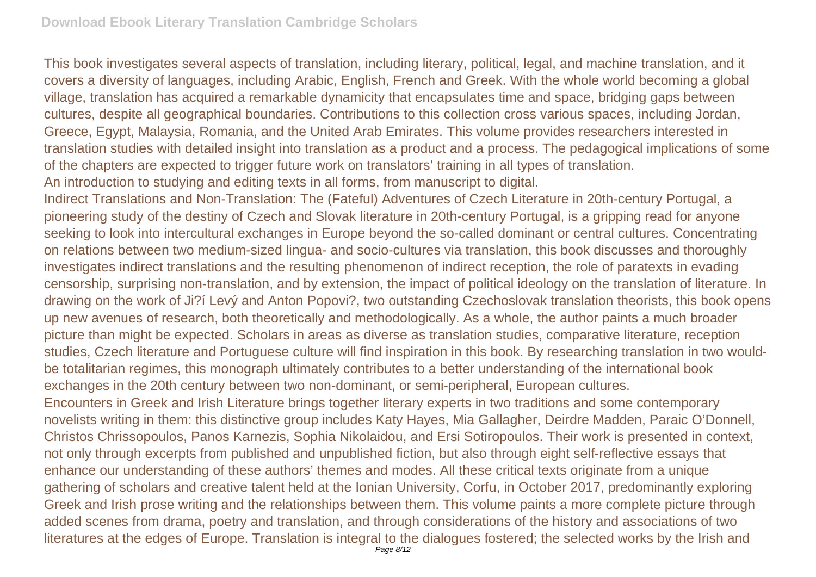This book investigates several aspects of translation, including literary, political, legal, and machine translation, and it covers a diversity of languages, including Arabic, English, French and Greek. With the whole world becoming a global village, translation has acquired a remarkable dynamicity that encapsulates time and space, bridging gaps between cultures, despite all geographical boundaries. Contributions to this collection cross various spaces, including Jordan, Greece, Egypt, Malaysia, Romania, and the United Arab Emirates. This volume provides researchers interested in translation studies with detailed insight into translation as a product and a process. The pedagogical implications of some of the chapters are expected to trigger future work on translators' training in all types of translation. An introduction to studying and editing texts in all forms, from manuscript to digital.

Indirect Translations and Non-Translation: The (Fateful) Adventures of Czech Literature in 20th-century Portugal, a pioneering study of the destiny of Czech and Slovak literature in 20th-century Portugal, is a gripping read for anyone seeking to look into intercultural exchanges in Europe beyond the so-called dominant or central cultures. Concentrating on relations between two medium-sized lingua- and socio-cultures via translation, this book discusses and thoroughly investigates indirect translations and the resulting phenomenon of indirect reception, the role of paratexts in evading censorship, surprising non-translation, and by extension, the impact of political ideology on the translation of literature. In drawing on the work of Ji?í Levý and Anton Popovi?, two outstanding Czechoslovak translation theorists, this book opens up new avenues of research, both theoretically and methodologically. As a whole, the author paints a much broader picture than might be expected. Scholars in areas as diverse as translation studies, comparative literature, reception studies, Czech literature and Portuguese culture will find inspiration in this book. By researching translation in two wouldbe totalitarian regimes, this monograph ultimately contributes to a better understanding of the international book exchanges in the 20th century between two non-dominant, or semi-peripheral, European cultures. Encounters in Greek and Irish Literature brings together literary experts in two traditions and some contemporary

novelists writing in them: this distinctive group includes Katy Hayes, Mia Gallagher, Deirdre Madden, Paraic O'Donnell, Christos Chrissopoulos, Panos Karnezis, Sophia Nikolaidou, and Ersi Sotiropoulos. Their work is presented in context, not only through excerpts from published and unpublished fiction, but also through eight self-reflective essays that enhance our understanding of these authors' themes and modes. All these critical texts originate from a unique gathering of scholars and creative talent held at the Ionian University, Corfu, in October 2017, predominantly exploring Greek and Irish prose writing and the relationships between them. This volume paints a more complete picture through added scenes from drama, poetry and translation, and through considerations of the history and associations of two literatures at the edges of Europe. Translation is integral to the dialogues fostered; the selected works by the Irish and Page 8/12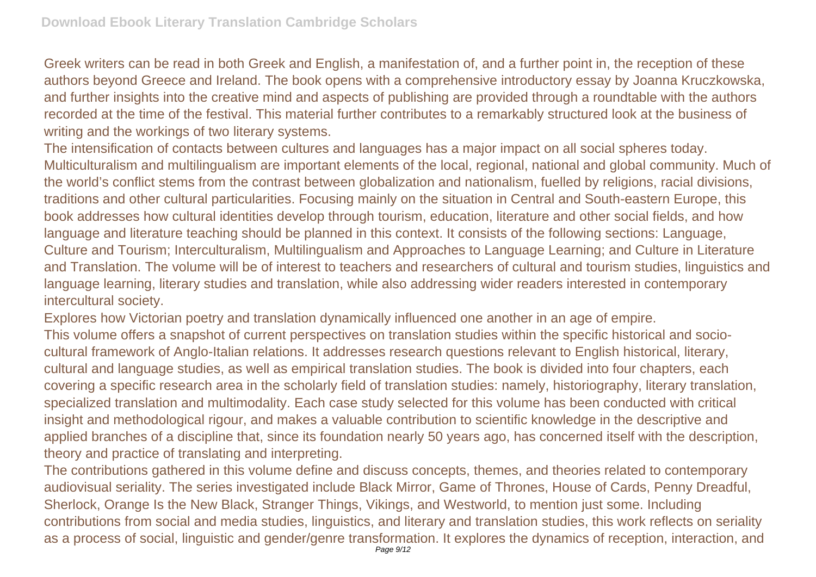Greek writers can be read in both Greek and English, a manifestation of, and a further point in, the reception of these authors beyond Greece and Ireland. The book opens with a comprehensive introductory essay by Joanna Kruczkowska, and further insights into the creative mind and aspects of publishing are provided through a roundtable with the authors recorded at the time of the festival. This material further contributes to a remarkably structured look at the business of writing and the workings of two literary systems.

The intensification of contacts between cultures and languages has a major impact on all social spheres today. Multiculturalism and multilingualism are important elements of the local, regional, national and global community. Much of the world's conflict stems from the contrast between globalization and nationalism, fuelled by religions, racial divisions, traditions and other cultural particularities. Focusing mainly on the situation in Central and South-eastern Europe, this book addresses how cultural identities develop through tourism, education, literature and other social fields, and how language and literature teaching should be planned in this context. It consists of the following sections: Language, Culture and Tourism; Interculturalism, Multilingualism and Approaches to Language Learning; and Culture in Literature and Translation. The volume will be of interest to teachers and researchers of cultural and tourism studies, linguistics and language learning, literary studies and translation, while also addressing wider readers interested in contemporary intercultural society.

Explores how Victorian poetry and translation dynamically influenced one another in an age of empire.

This volume offers a snapshot of current perspectives on translation studies within the specific historical and sociocultural framework of Anglo-Italian relations. It addresses research questions relevant to English historical, literary, cultural and language studies, as well as empirical translation studies. The book is divided into four chapters, each covering a specific research area in the scholarly field of translation studies: namely, historiography, literary translation, specialized translation and multimodality. Each case study selected for this volume has been conducted with critical insight and methodological rigour, and makes a valuable contribution to scientific knowledge in the descriptive and applied branches of a discipline that, since its foundation nearly 50 years ago, has concerned itself with the description, theory and practice of translating and interpreting.

The contributions gathered in this volume define and discuss concepts, themes, and theories related to contemporary audiovisual seriality. The series investigated include Black Mirror, Game of Thrones, House of Cards, Penny Dreadful, Sherlock, Orange Is the New Black, Stranger Things, Vikings, and Westworld, to mention just some. Including contributions from social and media studies, linguistics, and literary and translation studies, this work reflects on seriality as a process of social, linguistic and gender/genre transformation. It explores the dynamics of reception, interaction, and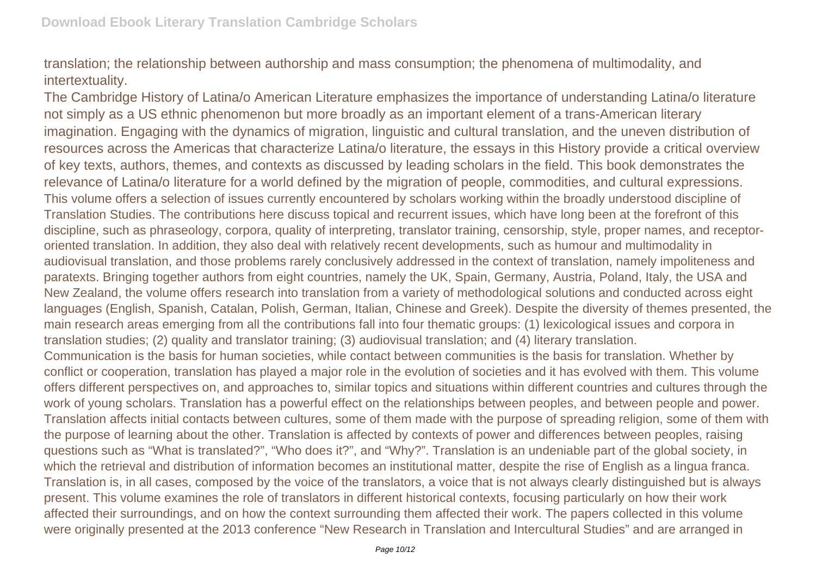translation; the relationship between authorship and mass consumption; the phenomena of multimodality, and intertextuality.

The Cambridge History of Latina/o American Literature emphasizes the importance of understanding Latina/o literature not simply as a US ethnic phenomenon but more broadly as an important element of a trans-American literary imagination. Engaging with the dynamics of migration, linguistic and cultural translation, and the uneven distribution of resources across the Americas that characterize Latina/o literature, the essays in this History provide a critical overview of key texts, authors, themes, and contexts as discussed by leading scholars in the field. This book demonstrates the relevance of Latina/o literature for a world defined by the migration of people, commodities, and cultural expressions. This volume offers a selection of issues currently encountered by scholars working within the broadly understood discipline of Translation Studies. The contributions here discuss topical and recurrent issues, which have long been at the forefront of this discipline, such as phraseology, corpora, quality of interpreting, translator training, censorship, style, proper names, and receptororiented translation. In addition, they also deal with relatively recent developments, such as humour and multimodality in audiovisual translation, and those problems rarely conclusively addressed in the context of translation, namely impoliteness and paratexts. Bringing together authors from eight countries, namely the UK, Spain, Germany, Austria, Poland, Italy, the USA and New Zealand, the volume offers research into translation from a variety of methodological solutions and conducted across eight languages (English, Spanish, Catalan, Polish, German, Italian, Chinese and Greek). Despite the diversity of themes presented, the main research areas emerging from all the contributions fall into four thematic groups: (1) lexicological issues and corpora in translation studies; (2) quality and translator training; (3) audiovisual translation; and (4) literary translation. Communication is the basis for human societies, while contact between communities is the basis for translation. Whether by conflict or cooperation, translation has played a major role in the evolution of societies and it has evolved with them. This volume offers different perspectives on, and approaches to, similar topics and situations within different countries and cultures through the work of young scholars. Translation has a powerful effect on the relationships between peoples, and between people and power. Translation affects initial contacts between cultures, some of them made with the purpose of spreading religion, some of them with the purpose of learning about the other. Translation is affected by contexts of power and differences between peoples, raising questions such as "What is translated?", "Who does it?", and "Why?". Translation is an undeniable part of the global society, in which the retrieval and distribution of information becomes an institutional matter, despite the rise of English as a lingua franca. Translation is, in all cases, composed by the voice of the translators, a voice that is not always clearly distinguished but is always present. This volume examines the role of translators in different historical contexts, focusing particularly on how their work affected their surroundings, and on how the context surrounding them affected their work. The papers collected in this volume were originally presented at the 2013 conference "New Research in Translation and Intercultural Studies" and are arranged in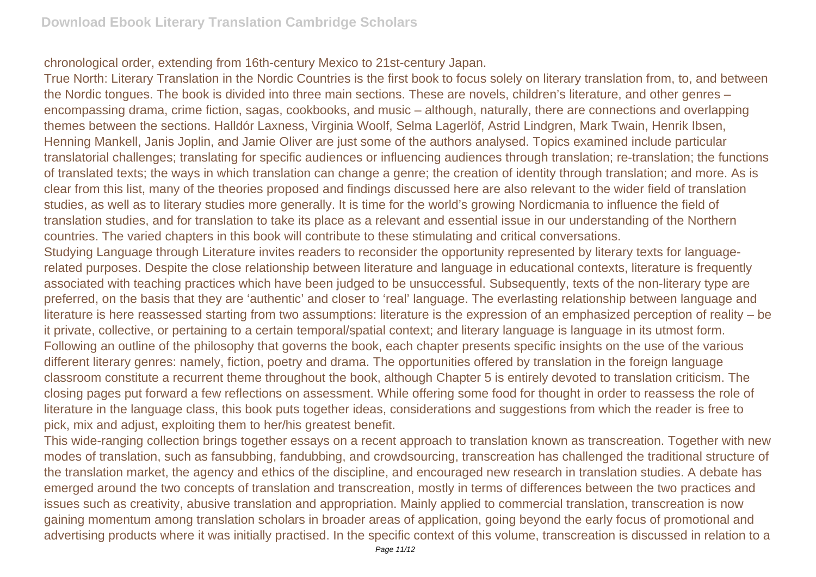chronological order, extending from 16th-century Mexico to 21st-century Japan.

True North: Literary Translation in the Nordic Countries is the first book to focus solely on literary translation from, to, and between the Nordic tongues. The book is divided into three main sections. These are novels, children's literature, and other genres – encompassing drama, crime fiction, sagas, cookbooks, and music – although, naturally, there are connections and overlapping themes between the sections. Halldór Laxness, Virginia Woolf, Selma Lagerlöf, Astrid Lindgren, Mark Twain, Henrik Ibsen, Henning Mankell, Janis Joplin, and Jamie Oliver are just some of the authors analysed. Topics examined include particular translatorial challenges; translating for specific audiences or influencing audiences through translation; re-translation; the functions of translated texts; the ways in which translation can change a genre; the creation of identity through translation; and more. As is clear from this list, many of the theories proposed and findings discussed here are also relevant to the wider field of translation studies, as well as to literary studies more generally. It is time for the world's growing Nordicmania to influence the field of translation studies, and for translation to take its place as a relevant and essential issue in our understanding of the Northern countries. The varied chapters in this book will contribute to these stimulating and critical conversations. Studying Language through Literature invites readers to reconsider the opportunity represented by literary texts for languagerelated purposes. Despite the close relationship between literature and language in educational contexts, literature is frequently associated with teaching practices which have been judged to be unsuccessful. Subsequently, texts of the non-literary type are preferred, on the basis that they are 'authentic' and closer to 'real' language. The everlasting relationship between language and literature is here reassessed starting from two assumptions: literature is the expression of an emphasized perception of reality – be it private, collective, or pertaining to a certain temporal/spatial context; and literary language is language in its utmost form. Following an outline of the philosophy that governs the book, each chapter presents specific insights on the use of the various different literary genres: namely, fiction, poetry and drama. The opportunities offered by translation in the foreign language classroom constitute a recurrent theme throughout the book, although Chapter 5 is entirely devoted to translation criticism. The closing pages put forward a few reflections on assessment. While offering some food for thought in order to reassess the role of

literature in the language class, this book puts together ideas, considerations and suggestions from which the reader is free to pick, mix and adjust, exploiting them to her/his greatest benefit.

This wide-ranging collection brings together essays on a recent approach to translation known as transcreation. Together with new modes of translation, such as fansubbing, fandubbing, and crowdsourcing, transcreation has challenged the traditional structure of the translation market, the agency and ethics of the discipline, and encouraged new research in translation studies. A debate has emerged around the two concepts of translation and transcreation, mostly in terms of differences between the two practices and issues such as creativity, abusive translation and appropriation. Mainly applied to commercial translation, transcreation is now gaining momentum among translation scholars in broader areas of application, going beyond the early focus of promotional and advertising products where it was initially practised. In the specific context of this volume, transcreation is discussed in relation to a